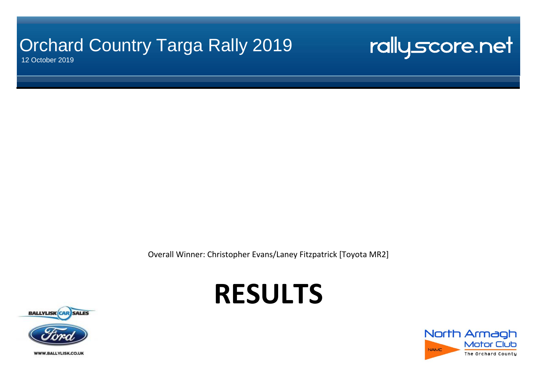## Orchard Country Targa Rally 2019

12 October 2019

rallyscore.net

Overall Winner: Christopher Evans/Laney Fitzpatrick [Toyota MR2]

# **RESULTS**



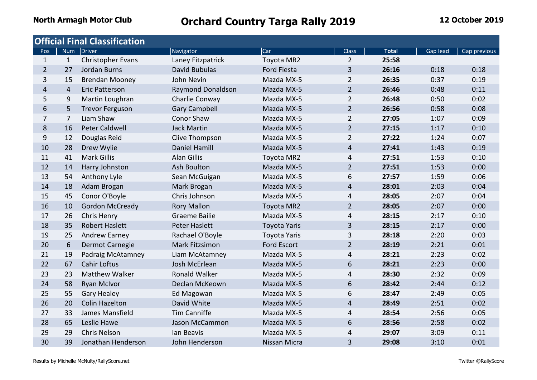|                |                | <b>Official Final Classification</b> |                          |                     |                |              |          |              |
|----------------|----------------|--------------------------------------|--------------------------|---------------------|----------------|--------------|----------|--------------|
| Pos            | <b>Num</b>     | Driver                               | Navigator                | Car                 | <b>Class</b>   | <b>Total</b> | Gap lead | Gap previous |
| $\mathbf{1}$   | $\mathbf{1}$   | Christopher Evans                    | Laney Fitzpatrick        | Toyota MR2          | $\overline{2}$ | 25:58        |          |              |
| $\overline{2}$ | 27             | Jordan Burns                         | David Bubulas            | <b>Ford Fiesta</b>  | 3              | 26:16        | 0:18     | 0:18         |
| 3              | 15             | <b>Brendan Mooney</b>                | John Nevin               | Mazda MX-5          | $\overline{2}$ | 26:35        | 0:37     | 0:19         |
| $\overline{4}$ | $\overline{4}$ | <b>Eric Patterson</b>                | <b>Raymond Donaldson</b> | Mazda MX-5          | $\overline{2}$ | 26:46        | 0:48     | 0:11         |
| 5              | 9              | Martin Loughran                      | Charlie Conway           | Mazda MX-5          | $\overline{2}$ | 26:48        | 0:50     | 0:02         |
| 6              | 5              | <b>Trevor Ferguson</b>               | <b>Gary Campbell</b>     | Mazda MX-5          | $\overline{2}$ | 26:56        | 0:58     | 0:08         |
| $\overline{7}$ | $\overline{7}$ | Liam Shaw                            | Conor Shaw               | Mazda MX-5          | $\overline{2}$ | 27:05        | 1:07     | 0:09         |
| 8              | 16             | <b>Peter Caldwell</b>                | <b>Jack Martin</b>       | Mazda MX-5          | $\overline{2}$ | 27:15        | 1:17     | 0:10         |
| 9              | 12             | Douglas Reid                         | Clive Thompson           | Mazda MX-5          | $\overline{2}$ | 27:22        | 1:24     | 0:07         |
| 10             | 28             | Drew Wylie                           | <b>Daniel Hamill</b>     | Mazda MX-5          | 4              | 27:41        | 1:43     | 0:19         |
| 11             | 41             | <b>Mark Gillis</b>                   | <b>Alan Gillis</b>       | Toyota MR2          | 4              | 27:51        | 1:53     | 0:10         |
| 12             | 14             | Harry Johnston                       | Ash Boulton              | Mazda MX-5          | $\overline{2}$ | 27:51        | 1:53     | 0:00         |
| 13             | 54             | Anthony Lyle                         | Sean McGuigan            | Mazda MX-5          | 6              | 27:57        | 1:59     | 0:06         |
| 14             | 18             | Adam Brogan                          | Mark Brogan              | Mazda MX-5          | 4              | 28:01        | 2:03     | 0:04         |
| 15             | 45             | Conor O'Boyle                        | Chris Johnson            | Mazda MX-5          | 4              | 28:05        | 2:07     | 0:04         |
| 16             | 10             | <b>Gordon McCready</b>               | <b>Rory Mallon</b>       | Toyota MR2          | $\overline{2}$ | 28:05        | 2:07     | 0:00         |
| 17             | 26             | Chris Henry                          | <b>Graeme Bailie</b>     | Mazda MX-5          | 4              | 28:15        | 2:17     | 0:10         |
| 18             | 35             | <b>Robert Haslett</b>                | <b>Peter Haslett</b>     | <b>Toyota Yaris</b> | 3              | 28:15        | 2:17     | 0:00         |
| 19             | 25             | Andrew Earney                        | Rachael O'Boyle          | <b>Toyota Yaris</b> | 3              | 28:18        | 2:20     | 0:03         |
| 20             | 6              | Dermot Carnegie                      | Mark Fitzsimon           | <b>Ford Escort</b>  | $\overline{2}$ | 28:19        | 2:21     | 0:01         |
| 21             | 19             | Padraig McAtamney                    | Liam McAtamney           | Mazda MX-5          | 4              | 28:21        | 2:23     | 0:02         |
| 22             | 67             | <b>Cahir Loftus</b>                  | Josh McErlean            | Mazda MX-5          | 6              | 28:21        | 2:23     | 0:00         |
| 23             | 23             | <b>Matthew Walker</b>                | <b>Ronald Walker</b>     | Mazda MX-5          | 4              | 28:30        | 2:32     | 0:09         |
| 24             | 58             | <b>Ryan McIvor</b>                   | Declan McKeown           | Mazda MX-5          | 6              | 28:42        | 2:44     | 0:12         |
| 25             | 55             | <b>Gary Healey</b>                   | Ed Magowan               | Mazda MX-5          | 6              | 28:47        | 2:49     | 0:05         |
| 26             | 20             | <b>Colin Hazelton</b>                | David White              | Mazda MX-5          | 4              | 28:49        | 2:51     | 0:02         |
| 27             | 33             | James Mansfield                      | <b>Tim Canniffe</b>      | Mazda MX-5          | 4              | 28:54        | 2:56     | 0:05         |
| 28             | 65             | Leslie Hawe                          | Jason McCammon           | Mazda MX-5          | 6              | 28:56        | 2:58     | 0:02         |
| 29             | 29             | Chris Nelson                         | lan Beavis               | Mazda MX-5          | 4              | 29:07        | 3:09     | 0:11         |
| 30             | 39             | Jonathan Henderson                   | John Henderson           | Nissan Micra        | 3              | 29:08        | 3:10     | 0:01         |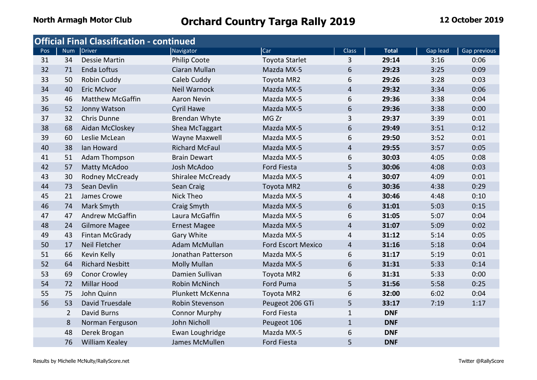|     |                | <b>Official Final Classification - continued</b> |                          |                           |                |              |          |              |
|-----|----------------|--------------------------------------------------|--------------------------|---------------------------|----------------|--------------|----------|--------------|
| Pos |                | Num Driver                                       | Navigator                | Car                       | <b>Class</b>   | <b>Total</b> | Gap lead | Gap previous |
| 31  | 34             | <b>Dessie Martin</b>                             | Philip Coote             | <b>Toyota Starlet</b>     | 3              | 29:14        | 3:16     | 0:06         |
| 32  | 71             | Enda Loftus                                      | Ciaran Mullan            | Mazda MX-5                | 6              | 29:23        | 3:25     | 0:09         |
| 33  | 50             | Robin Cuddy                                      | Caleb Cuddy              | Toyota MR2                | 6              | 29:26        | 3:28     | 0:03         |
| 34  | 40             | <b>Eric McIvor</b>                               | <b>Neil Warnock</b>      | Mazda MX-5                | 4              | 29:32        | 3:34     | 0:06         |
| 35  | 46             | <b>Matthew McGaffin</b>                          | <b>Aaron Nevin</b>       | Mazda MX-5                | 6              | 29:36        | 3:38     | 0:04         |
| 36  | 52             | Jonny Watson                                     | <b>Cyril Hawe</b>        | Mazda MX-5                | 6              | 29:36        | 3:38     | 0:00         |
| 37  | 32             | Chris Dunne                                      | <b>Brendan Whyte</b>     | MG Zr                     | 3              | 29:37        | 3:39     | 0:01         |
| 38  | 68             | Aidan McCloskey                                  | Shea McTaggart           | Mazda MX-5                | 6              | 29:49        | 3:51     | 0:12         |
| 39  | 60             | Leslie McLean                                    | Wayne Maxwell            | Mazda MX-5                | 6              | 29:50        | 3:52     | 0:01         |
| 40  | 38             | Ian Howard                                       | <b>Richard McFaul</b>    | Mazda MX-5                | $\overline{4}$ | 29:55        | 3:57     | 0:05         |
| 41  | 51             | <b>Adam Thompson</b>                             | <b>Brain Dewart</b>      | Mazda MX-5                | 6              | 30:03        | 4:05     | 0:08         |
| 42  | 57             | <b>Matty McAdoo</b>                              | Josh McAdoo              | <b>Ford Fiesta</b>        | 5              | 30:06        | 4:08     | 0:03         |
| 43  | 30             | Rodney McCready                                  | <b>Shiralee McCready</b> | Mazda MX-5                | 4              | 30:07        | 4:09     | 0:01         |
| 44  | 73             | Sean Devlin                                      | Sean Craig               | Toyota MR2                | 6              | 30:36        | 4:38     | 0:29         |
| 45  | 21             | James Crowe                                      | <b>Nick Theo</b>         | Mazda MX-5                | 4              | 30:46        | 4:48     | 0:10         |
| 46  | 74             | Mark Smyth                                       | Craig Smyth              | Mazda MX-5                | 6              | 31:01        | 5:03     | 0:15         |
| 47  | 47             | <b>Andrew McGaffin</b>                           | Laura McGaffin           | Mazda MX-5                | 6              | 31:05        | 5:07     | 0:04         |
| 48  | 24             | <b>Gilmore Magee</b>                             | <b>Ernest Magee</b>      | Mazda MX-5                | $\overline{4}$ | 31:07        | 5:09     | 0:02         |
| 49  | 43             | Fintan McGrady                                   | Gary White               | Mazda MX-5                | 4              | 31:12        | 5:14     | 0:05         |
| 50  | 17             | Neil Fletcher                                    | Adam McMullan            | <b>Ford Escort Mexico</b> | 4              | 31:16        | 5:18     | 0:04         |
| 51  | 66             | Kevin Kelly                                      | Jonathan Patterson       | Mazda MX-5                | 6              | 31:17        | 5:19     | 0:01         |
| 52  | 64             | <b>Richard Nesbitt</b>                           | <b>Molly Mullan</b>      | Mazda MX-5                | 6              | 31:31        | 5:33     | 0:14         |
| 53  | 69             | <b>Conor Crowley</b>                             | Damien Sullivan          | Toyota MR2                | 6              | 31:31        | 5:33     | 0:00         |
| 54  | 72             | <b>Millar Hood</b>                               | Robin McNinch            | Ford Puma                 | 5              | 31:56        | 5:58     | 0:25         |
| 55  | 75             | John Quinn                                       | Plunkett McKenna         | Toyota MR2                | 6              | 32:00        | 6:02     | 0:04         |
| 56  | 53             | David Truesdale                                  | Robin Stevenson          | Peugeot 206 GTi           | 5              | 33:17        | 7:19     | 1:17         |
|     | $\overline{2}$ | David Burns                                      | <b>Connor Murphy</b>     | <b>Ford Fiesta</b>        | $\mathbf{1}$   | <b>DNF</b>   |          |              |
|     | 8              | Norman Ferguson                                  | John Nicholl             | Peugeot 106               | $\mathbf{1}$   | <b>DNF</b>   |          |              |
|     | 48             | Derek Brogan                                     | Ewan Loughridge          | Mazda MX-5                | 6              | <b>DNF</b>   |          |              |
|     | 76             | <b>William Kealey</b>                            | James McMullen           | <b>Ford Fiesta</b>        | 5              | <b>DNF</b>   |          |              |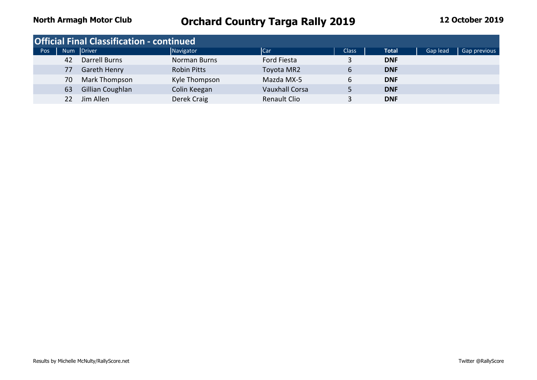|     |    | <b>Official Final Classification - continued</b> |                     |                       |              |              |          |              |
|-----|----|--------------------------------------------------|---------------------|-----------------------|--------------|--------------|----------|--------------|
| Pos |    | Num Driver                                       | Navigator           | Car                   | <b>Class</b> | <b>Total</b> | Gap lead | Gap previous |
|     | 42 | Darrell Burns                                    | <b>Norman Burns</b> | Ford Fiesta           |              | <b>DNF</b>   |          |              |
|     | 77 | Gareth Henry                                     | <b>Robin Pitts</b>  | Toyota MR2            |              | <b>DNF</b>   |          |              |
|     | 70 | Mark Thompson                                    | Kyle Thompson       | Mazda MX-5            | 6            | <b>DNF</b>   |          |              |
|     | 63 | Gillian Coughlan                                 | Colin Keegan        | <b>Vauxhall Corsa</b> |              | <b>DNF</b>   |          |              |
|     |    | Jim Allen                                        | Derek Craig         | <b>Renault Clio</b>   |              | <b>DNF</b>   |          |              |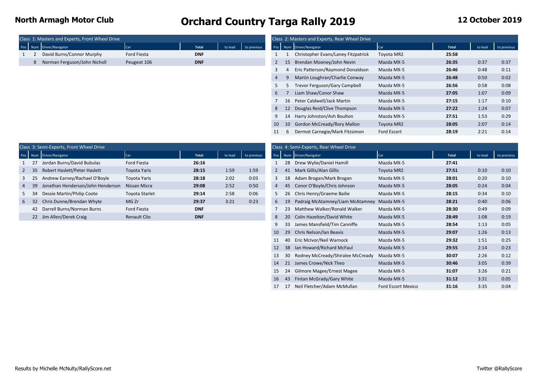|  | Class 1: Masters and Experts, Front Wheel Drive |             |            |                                       |  | Class 2: Masters and Experts, Rear Wheel Drive |              |       |
|--|-------------------------------------------------|-------------|------------|---------------------------------------|--|------------------------------------------------|--------------|-------|
|  | Pos Num Driver/Navigator                        | Car         | Total      | to lead<br>$\blacksquare$ to previous |  | Pos Num Driver/Navigator                       | <b>I</b> Car | Total |
|  | David Burns/Connor Murphy                       | Ford Fiesta | <b>DNF</b> |                                       |  | Christopher Evans/Laney Fitzpatrick            | Tovota MR2   | 25:58 |
|  | Norman Ferguson/John Nicholl                    | Peugeot 106 | <b>DNF</b> |                                       |  | Brendan Mooney/John Nevin                      | Mazda MX-5   | 26:35 |
|  |                                                 |             |            |                                       |  |                                                |              |       |

|  | Class 1: Masters and Experts, Front Wheel Drive |             |              |         |             |                |                 | Class 2: Masters and Experts, Rear Wheel Drive |             |              |         |             |
|--|-------------------------------------------------|-------------|--------------|---------|-------------|----------------|-----------------|------------------------------------------------|-------------|--------------|---------|-------------|
|  | Pos Num Driver/Navigator                        | Car         | <b>Total</b> | to lead | to previous |                |                 | Pos Num Driver/Navigator                       | <b>Car</b>  | <b>Total</b> | to lead | to previous |
|  | David Burns/Connor Murphy                       | Ford Fiesta | <b>DNF</b>   |         |             |                |                 | Christopher Evans/Laney Fitzpatrick            | Toyota MR2  | 25:58        |         |             |
|  | 8 Norman Ferguson/John Nicholl                  | Peugeot 106 | <b>DNF</b>   |         |             | $\mathbf{2}$   | 15              | Brendan Mooney/John Nevin                      | Mazda MX-5  | 26:35        | 0:37    | 0:37        |
|  |                                                 |             |              |         |             | 3              |                 | Eric Patterson/Raymond Donaldson               | Mazda MX-5  | 26:46        | 0:48    | 0:11        |
|  |                                                 |             |              |         |             | $\overline{4}$ |                 | Martin Loughran/Charlie Conway                 | Mazda MX-5  | 26:48        | 0:50    | 0:02        |
|  |                                                 |             |              |         |             | 5              |                 | Trevor Ferguson/Gary Campbell                  | Mazda MX-5  | 26:56        | 0:58    | 0:08        |
|  |                                                 |             |              |         |             | 6              |                 | Liam Shaw/Conor Shaw                           | Mazda MX-5  | 27:05        | 1:07    | 0:09        |
|  |                                                 |             |              |         |             |                |                 | 16 Peter Caldwell/Jack Martin                  | Mazda MX-5  | 27:15        | 1:17    | 0:10        |
|  |                                                 |             |              |         |             | 8              | 12              | Douglas Reid/Clive Thompson                    | Mazda MX-5  | 27:22        | 1:24    | 0:07        |
|  |                                                 |             |              |         |             |                | 14              | Harry Johnston/Ash Boulton                     | Mazda MX-5  | 27:51        | 1:53    | 0:29        |
|  |                                                 |             |              |         |             | 10             | 10 <sup>°</sup> | <b>Gordon McCready/Rory Mallon</b>             | Toyota MR2  | 28:05        | 2:07    | 0:14        |
|  |                                                 |             |              |         |             | 11             |                 | Dermot Carnegie/Mark Fitzsimon                 | Ford Escort | 28:19        | 2:21    | 0:14        |

|   |              | Class 3: Semi-Experts, Front Wheel Drive |                       |              |         |             |                  |     | Class 4: Semi-Experts, Rear Wheel Drive |            |       |         |      |
|---|--------------|------------------------------------------|-----------------------|--------------|---------|-------------|------------------|-----|-----------------------------------------|------------|-------|---------|------|
|   |              | Pos Num Driver/Navigator                 | Car                   | <b>Total</b> | to lead | to previous | Pos              |     | Num Driver/Navigator                    | Car        | Total | to lead |      |
|   |              | Jordan Burns/David Bubulas               | Ford Fiesta           | 26:16        |         |             |                  | 28  | Drew Wylie/Daniel Hamill                | Mazda MX-5 | 27:41 |         |      |
|   | $2 \quad 35$ | Robert Haslett/Peter Haslett             | Toyota Yaris          | 28:15        | 1:59    | 1:59        |                  |     | Mark Gillis/Alan Gillis                 | Toyota MR2 | 27:51 | 0:10    | 0:10 |
| 3 |              | Andrew Earney/Rachael O'Boyle            | Toyota Yaris          | 28:18        | 2:02    | 0:03        |                  | 18  | Adam Brogan/Mark Brogan                 | Mazda MX-5 | 28:01 | 0:20    | 0:10 |
|   | 4 39         | Jonathan Henderson/John Henderson        | Nissan Micra          | 29:08        | 2:52    | 0:50        | $4 \overline{ }$ | -45 | Conor O'Boyle/Chris Johnson             | Mazda MX-5 | 28:05 | 0:24    | 0:04 |
|   | 5 34         | Dessie Martin/Philip Coote               | <b>Toyota Starlet</b> | 29:14        | 2:58    | 0:06        |                  |     | 5 26 Chris Henry/Graeme Bailie          | Mazda MX-5 | 28:15 | 0:34    | 0:10 |
|   | $6 \quad 32$ | Chris Dunne/Brendan Whyte                | MG Zr                 | 29:37        | 3:21    | 0:23        | 6                |     | Padraig McAtamney/Liam McAtamney        | Mazda MX-5 | 28:21 | 0:40    | 0:06 |
|   | 42           | Darrell Burns/Norman Burns               | Ford Fiesta           | <b>DNF</b>   |         |             |                  |     | Matthew Walker/Ronald Walker            | Mazda MX-5 | 28:30 | 0:49    | 0:09 |
|   |              | 22 Jim Allen/Derek Craig                 | <b>Renault Clio</b>   | <b>DNF</b>   |         |             | 8                |     | Colin Hazelton/David White              | Mazda MX-5 | 28:49 | 1:08    | 0:19 |

| 3: Semi-Experts, Front Wheel Drive   |                     |            |         |             |                |           | Class 4: Semi-Experts, Rear Wheel Drive |                           |       |         |             |
|--------------------------------------|---------------------|------------|---------|-------------|----------------|-----------|-----------------------------------------|---------------------------|-------|---------|-------------|
| <b>Jum</b> Driver/Navigator          | Car                 | Total      | to lead | to previous |                |           | Pos Num Driver/Navigator                | Car                       | Total | to lead | to previous |
| 27 Jordan Burns/David Bubulas        | Ford Fiesta         | 26:16      |         |             |                | 28        | Drew Wylie/Daniel Hamill                | Mazda MX-5                | 27:41 |         |             |
| 35 Robert Haslett/Peter Haslett      | <b>Toyota Yaris</b> | 28:15      | 1:59    | 1:59        | $\overline{2}$ | 41        | Mark Gillis/Alan Gillis                 | Toyota MR2                | 27:51 | 0:10    | 0:10        |
| 25 Andrew Earney/Rachael O'Boyle     | Toyota Yaris        | 28:18      | 2:02    | 0:03        | 3              | 18        | Adam Brogan/Mark Brogan                 | Mazda MX-5                | 28:01 | 0:20    | 0:10        |
| 39 Jonathan Henderson/John Henderson | Nissan Micra        | 29:08      | 2:52    | 0:50        | 4              | 45        | Conor O'Boyle/Chris Johnson             | Mazda MX-5                | 28:05 | 0:24    | 0:04        |
| 34 Dessie Martin/Philip Coote        | Toyota Starlet      | 29:14      | 2:58    | 0:06        | 5              | -26       | Chris Henry/Graeme Bailie               | Mazda MX-5                | 28:15 | 0:34    | 0:10        |
| 32 Chris Dunne/Brendan Whyte         | MG Zr               | 29:37      | 3:21    | 0:23        | 6              | 19        | Padraig McAtamney/Liam McAtamney        | Mazda MX-5                | 28:21 | 0:40    | 0:06        |
| 42 Darrell Burns/Norman Burns        | Ford Fiesta         | <b>DNF</b> |         |             |                | 23        | Matthew Walker/Ronald Walker            | Mazda MX-5                | 28:30 | 0:49    | 0:09        |
| 22 Jim Allen/Derek Craig             | Renault Clio        | <b>DNF</b> |         |             | 8              | <b>20</b> | Colin Hazelton/David White              | Mazda MX-5                | 28:49 | 1:08    | 0:19        |
|                                      |                     |            |         |             | 9              | -33       | James Mansfield/Tim Canniffe            | Mazda MX-5                | 28:54 | 1:13    | 0:05        |
|                                      |                     |            |         |             | 10             | 29        | Chris Nelson/Ian Beavis                 | Mazda MX-5                | 29:07 | 1:26    | 0:13        |
|                                      |                     |            |         |             |                | 40        | Eric McIvor/Neil Warnock                | Mazda MX-5                | 29:32 | 1:51    | 0:25        |
|                                      |                     |            |         |             | 12             | 38        | Ian Howard/Richard McFaul               | Mazda MX-5                | 29:55 | 2:14    | 0:23        |
|                                      |                     |            |         |             | 13             | 30        | Rodney McCready/Shiralee McCready       | Mazda MX-5                | 30:07 | 2:26    | 0:12        |
|                                      |                     |            |         |             | 14             | 21        | James Crowe/Nick Theo                   | Mazda MX-5                | 30:46 | 3:05    | 0:39        |
|                                      |                     |            |         |             | 15             | 24        | Gilmore Magee/Ernest Magee              | Mazda MX-5                | 31:07 | 3:26    | 0:21        |
|                                      |                     |            |         |             | 16             | 43        | Fintan McGrady/Gary White               | Mazda MX-5                | 31:12 | 3:31    | 0:05        |
|                                      |                     |            |         |             | 17             | 17        | Neil Fletcher/Adam McMullan             | <b>Ford Escort Mexico</b> | 31:16 | 3:35    | 0:04        |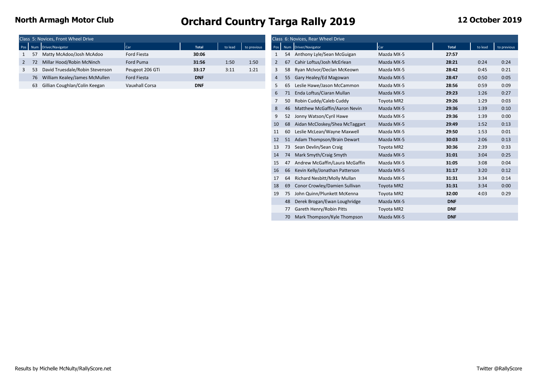|  | Class 5: Novices, Front Wheel Drive |                       |              |         |             |                |    | Class 6: Novices, Rear Wheel Drive |                                                                                                                 |              |      |      |
|--|-------------------------------------|-----------------------|--------------|---------|-------------|----------------|----|------------------------------------|-----------------------------------------------------------------------------------------------------------------|--------------|------|------|
|  | Pos Num Driver/Navigator            | Car                   | <b>Total</b> | to lead | to previous |                |    | Pos Num Driver/Navigator           | <b>Car</b>                                                                                                      | <b>Total</b> |      |      |
|  | Matty McAdoo/Josh McAdoo            | Ford Fiesta           | 30:06        |         |             |                |    | Anthony Lyle/Sean McGuigan         | Mazda MX-5                                                                                                      | 27:57        |      |      |
|  | Millar Hood/Robin McNinch           | Ford Puma             | 31:56        | 1:50    | 1:50        |                | 67 | Cahir Loftus/Josh McErlean         | Mazda MX-5                                                                                                      | 28:21        | 0:24 | 0:24 |
|  | David Truesdale/Robin Stevenson     | Peugeot 206 GTi       | 33:17        | 3:11    | 1:21        |                |    | 58 Ryan McIvor/Declan McKeown      | Mazda MX-5                                                                                                      | 28:42        | 0:45 | 0:21 |
|  | 76 William Kealey/James McMullen    | Ford Fiesta           | <b>DNF</b>   |         |             | $\overline{4}$ |    | 55 Gary Healey/Ed Magowan          | Mazda MX-5                                                                                                      | 28:47        | 0:50 | 0:05 |
|  | 63 Gillian Coughlan/Colin Keegan    | <b>Vauxhall Corsa</b> | <b>DNF</b>   |         |             |                | 65 | Leslie Hawe/Jason McCammon         | Mazda MX-5                                                                                                      | 28:56        | 0:59 | 0:09 |
|  |                                     |                       |              |         |             |                |    |                                    | the contract of the contract of the contract of the contract of the contract of the contract of the contract of |              |      |      |

|    | 5: Novices, Front Wheel Drive      |                       |            |         |             |                |    | Class 6: Novices, Rear Wheel Drive |            |              |         |             |
|----|------------------------------------|-----------------------|------------|---------|-------------|----------------|----|------------------------------------|------------|--------------|---------|-------------|
|    | <b>Jum</b> Driver/Navigator        | Car                   | Total      | to lead | to previous | Pos            |    | Num Driver/Navigator               | Car        | <b>Total</b> | to lead | to previous |
|    | 57 Matty McAdoo/Josh McAdoo        | Ford Fiesta           | 30:06      |         |             |                |    | 54 Anthony Lyle/Sean McGuigan      | Mazda MX-5 | 27:57        |         |             |
|    | 72 Millar Hood/Robin McNinch       | Ford Puma             | 31:56      | 1:50    | 1:50        | $\overline{2}$ | 67 | Cahir Loftus/Josh McErlean         | Mazda MX-5 | 28:21        | 0:24    | 0:24        |
|    | 53 David Truesdale/Robin Stevenson | Peugeot 206 GTi       | 33:17      | 3:11    | 1:21        | 3              | 58 | Ryan McIvor/Declan McKeown         | Mazda MX-5 | 28:42        | 0:45    | 0:21        |
|    | 76 William Kealey/James McMullen   | Ford Fiesta           | <b>DNF</b> |         |             | $\overline{4}$ | 55 | Gary Healey/Ed Magowan             | Mazda MX-5 | 28:47        | 0:50    | 0:05        |
| 63 | Gillian Coughlan/Colin Keegan      | <b>Vauxhall Corsa</b> | <b>DNF</b> |         |             | 5              | 65 | Leslie Hawe/Jason McCammon         | Mazda MX-5 | 28:56        | 0:59    | 0:09        |
|    |                                    |                       |            |         |             | 6              |    | Enda Loftus/Ciaran Mullan          | Mazda MX-5 | 29:23        | 1:26    | 0:27        |
|    |                                    |                       |            |         |             |                | 50 | Robin Cuddy/Caleb Cuddy            | Toyota MR2 | 29:26        | 1:29    | 0:03        |
|    |                                    |                       |            |         |             | 8              | 46 | Matthew McGaffin/Aaron Nevin       | Mazda MX-5 | 29:36        | 1:39    | 0:10        |
|    |                                    |                       |            |         |             | 9              | 52 | Jonny Watson/Cyril Hawe            | Mazda MX-5 | 29:36        | 1:39    | 0:00        |
|    |                                    |                       |            |         |             | 10             | 68 | Aidan McCloskey/Shea McTaggart     | Mazda MX-5 | 29:49        | 1:52    | 0:13        |
|    |                                    |                       |            |         |             | 11             | 60 | Leslie McLean/Wayne Maxwell        | Mazda MX-5 | 29:50        | 1:53    | 0:01        |
|    |                                    |                       |            |         |             | 12             | 51 | Adam Thompson/Brain Dewart         | Mazda MX-5 | 30:03        | 2:06    | 0:13        |
|    |                                    |                       |            |         |             | 13             | 73 | Sean Devlin/Sean Craig             | Toyota MR2 | 30:36        | 2:39    | 0:33        |
|    |                                    |                       |            |         |             | 14             | 74 | Mark Smyth/Craig Smyth             | Mazda MX-5 | 31:01        | 3:04    | 0:25        |
|    |                                    |                       |            |         |             | 15             | 47 | Andrew McGaffin/Laura McGaffin     | Mazda MX-5 | 31:05        | 3:08    | 0:04        |
|    |                                    |                       |            |         |             | 16             | 66 | Kevin Kelly/Jonathan Patterson     | Mazda MX-5 | 31:17        | 3:20    | 0:12        |
|    |                                    |                       |            |         |             | 17             | 64 | Richard Nesbitt/Molly Mullan       | Mazda MX-5 | 31:31        | 3:34    | 0:14        |
|    |                                    |                       |            |         |             | 18             | 69 | Conor Crowley/Damien Sullivan      | Toyota MR2 | 31:31        | 3:34    | 0:00        |
|    |                                    |                       |            |         |             | 19             | 75 | John Quinn/Plunkett McKenna        | Toyota MR2 | 32:00        | 4:03    | 0:29        |
|    |                                    |                       |            |         |             |                | 48 | Derek Brogan/Ewan Loughridge       | Mazda MX-5 | <b>DNF</b>   |         |             |
|    |                                    |                       |            |         |             |                | 77 | Gareth Henry/Robin Pitts           | Toyota MR2 | <b>DNF</b>   |         |             |
|    |                                    |                       |            |         |             |                |    | 70 Mark Thompson/Kyle Thompson     | Mazda MX-5 | <b>DNF</b>   |         |             |
|    |                                    |                       |            |         |             |                |    |                                    |            |              |         |             |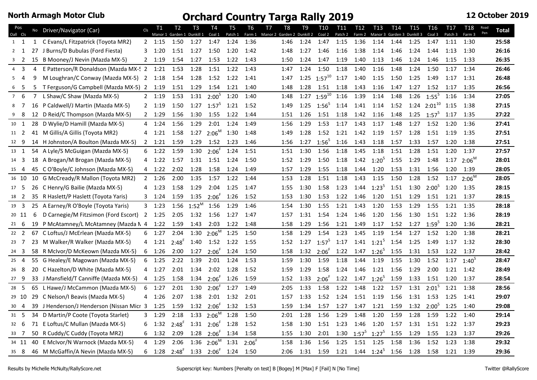| Pos<br>Oall Cls  |                |                | No Driver/Navigator (Car)                  | C <sub>l</sub> | T1             | T <sub>2</sub> | T <sub>3</sub><br>Manor 1 Garden 1 Dunkill 1 Coal 1 | T4                         | T <sub>5</sub><br>Patch 1 | T <sub>6</sub> | T <sub>7</sub><br>T8<br>Farm 1 Manor 2 Garden 2 Dunkill 2 | T <sub>9</sub> | <b>T10</b><br>Coal 2  | <b>T11</b><br>Patch 2 | T <sub>12</sub><br>Farm 2 | T <sub>13</sub><br>Manor 3 Garden 3 Dunkill 3 | T <sub>14</sub> | T <sub>15</sub> | T <sub>16</sub><br>Coal 3 | T <sub>17</sub><br>Patch 3 | <b>T18</b><br>Farm 3 | Road<br>Pen | <b>Total</b> |
|------------------|----------------|----------------|--------------------------------------------|----------------|----------------|----------------|-----------------------------------------------------|----------------------------|---------------------------|----------------|-----------------------------------------------------------|----------------|-----------------------|-----------------------|---------------------------|-----------------------------------------------|-----------------|-----------------|---------------------------|----------------------------|----------------------|-------------|--------------|
| 1 1              |                |                | 1 C Evans/L Fitzpatrick (Toyota MR2)       |                | $2 \quad 1:15$ | 1:50           | 1:27                                                | 1:47                       | 1:24                      | 1:36           | 1:46                                                      | 1:24           | 1:47                  | 1:15                  | 1:36                      | 1:14                                          | 1:44            | 1:25            | 1:47                      | 1:11                       | 1:30                 |             | 25:58        |
| $2 \quad 1$      |                | 27             | J Burns/D Bubulas (Ford Fiesta)            |                | $3 \quad 1:20$ | 1:51           | 1:27                                                | 1:50                       | 1:20                      | 1:42           | 1:48                                                      | 1:27           | 1:46                  | 1:16                  | 1:38                      | 1:14                                          | 1:46            | 1:24            | 1:44                      | 1:13                       | 1:30                 |             | 26:16        |
| 3 <sup>2</sup>   |                |                | 15 B Mooney/J Nevin (Mazda MX-5)           |                | $2 \quad 1:19$ | 1:54           | 1:27                                                | 1:53                       | 1:22                      | 1:43           | 1:50                                                      | 1:24           | 1:47                  | 1:19                  | 1:40                      | 1:13                                          | 1:46            | 1:24            | 1:46                      | 1:15                       | 1:33                 |             | 26:35        |
| $4 \overline{3}$ |                | 4              | E Patterson/R Donaldson (Mazda MX-5 2 1:21 |                |                | 1:53           | 1:28                                                | 1:51                       | 1:22                      | 1:43           | 1:47                                                      | 1:24           | 1:50                  | 1:18                  | 1:40                      | 1:16                                          | 1:48            | 1:24            | 1:50                      | 1:17                       | 1:34                 |             | 26:46        |
| 54               |                | 9              | M Loughran/C Conway (Mazda MX-5) 2 1:18    |                |                | 1:54           | 1:28                                                | 1:52                       | 1:22                      | 1:41           | 1:47                                                      |                | 1:25 $1:57^{10}$ 1:17 |                       | 1:40                      | 1:15                                          | 1:50            | 1:25            | 1:49                      | 1:17                       | 1:31                 |             | 26:48        |
| 6                | - 5            | 5              | T Ferguson/G Campbell (Mazda MX-5) 2 1:19  |                |                | 1:51           | 1:29                                                | 1:54                       | 1:21                      | 1:40           | 1:48                                                      | 1:28           | 1:51                  | 1:18                  | 1:43                      | 1:16                                          | 1:47            | 1:27            | 1:52                      | 1:17                       | 1:35                 |             | 26:56        |
| $7\quad 6$       |                | $\overline{7}$ | L Shaw/C Shaw (Mazda MX-5)                 |                | 2 1:19         | 1:53           | 1:31                                                | $2:00^{5}$                 | 1:20                      | 1:40           | 1:48                                                      | 1:27           | $1:59^{10}$           | 1:16                  | 1:39                      | 1:14                                          | 1:48            | 1:26            | $1:55^{5}$                | 1:16                       | 1:34                 |             | 27:05        |
| 8                | $\overline{7}$ |                | 16 P Caldwell/J Martin (Mazda MX-5)        |                | $2 \quad 1:19$ | 1:50           | 1:27                                                | $1:57^{5}$                 | 1:21                      | 1:52           | 1:49                                                      |                | 1:25 $1:56^5$         | 1:14                  | 1:41                      | 1:14                                          | 1:52            |                 | 1:24 $2:01^{10}$          | 1:15                       | 1:38                 |             | 27:15        |
| 9                | 8              |                | 12 D Reid/C Thompson (Mazda MX-5)          | 2              | 1:29           | 1:56           | 1:30                                                | 1:55                       | 1:22                      | 1:44           | 1:51                                                      | 1:26           | 1:51                  | 1:18                  | 1:42                      | 1:16                                          | 1:48            | 1:25            | $1:57^5$                  | 1:17                       | 1:35                 |             | 27:22        |
| 10 1             |                | 28             | D Wylie/D Hamill (Mazda MX-5)              | 4              | 1:24           | 1:56           | 1:29                                                | 2:01                       | 1:24                      | 1:49           | 1:56                                                      | 1:29           | 1:53                  | 1:17                  | 1:43                      | 1:17                                          | 1:48            | 1:27            | 1:52                      | 1:20                       | 1:36                 |             | 27:41        |
| 11 2             |                |                | 41 M Gillis/A Gillis (Toyota MR2)          | 4              | 1:21           | 1:58           | 1:27                                                | $2:06^M$                   | 1:30                      | 1:48           | 1:49                                                      | 1:28           | 1:52                  | 1:21                  | 1:42                      | 1:19                                          | 1:57            | 1:28            | 1:51                      | 1:19                       | 1:35                 |             | 27:51        |
| 12 9             |                |                | 14 H Johnston/A Boulton (Mazda MX-5)       | $\overline{2}$ | 1:21           | 1:59           | 1:29                                                | 1:52                       | 1:23                      | 1:46           | 1:56                                                      | 1:27           | $1:56^{5}$            | 1:16                  | 1:43                      | 1:18                                          | 1:57            | 1:33            | 1:57                      | 1:20                       | 1:38                 |             | 27:51        |
| 13 1             |                |                | 54 A Lyle/S McGuigan (Mazda MX-5)          |                | $6 \quad 1:22$ | 1:59           | 1:30                                                | $2:06^{F}$                 | 1:24                      | 1:51           | 1:51                                                      | 1:30           | 1:56                  | 1:18                  | 1:45                      | 1:18                                          | 1:51            | 1:28            | 1:51                      | 1:20                       | 1:37                 |             | 27:57        |
| 14 3             |                |                | 18 A Brogan/M Brogan (Mazda MX-5)          | 4              | 1:22           | 1:57           |                                                     | 1:31 1:51                  | 1:24                      | 1:50           | 1:52                                                      | 1:29           | 1:50                  | 1:18                  |                           | 1:42 $1:20^5$                                 | 1:55            | 1:29            | 1:48                      | 1:17                       | $2:06^M$             |             | 28:01        |
| 15 4             |                |                | 45 C O'Boyle/C Johnson (Mazda MX-5)        | 4              | 1:22           | 2:02           | 1:28                                                | 1:58                       | 1:24                      | 1:49           | 1:57                                                      | 1:29           | 1:55                  | 1:18                  | 1:44                      | 1:20                                          | 1:53            | 1:31            | 1:56                      | 1:20                       | 1:39                 |             | 28:05        |
| 16 10            |                |                | 10 G McCready/R Mallon (Toyota MR2)        |                | $2 \quad 1:26$ | 2:00           | 1:35                                                | 1:57                       | 1:22                      | 1:44           | 1:53                                                      | 1:28           | 1:51                  | 1:18                  | 1:43                      | 1:15                                          | 1:50            | 1:28            | 1:52                      | 1:17                       | $2:06^M$             |             | 28:05        |
| 17 5             |                |                | 26 C Henry/G Bailie (Mazda MX-5)           |                | 4 1:23         | 1:58           | 1:29                                                | 2:04                       | 1:25                      | 1:47           | 1:55                                                      | 1:30           | 1:58                  | 1:23                  |                           | $1:44$ $1:23^5$ $1:51$                        |                 | 1:30            | $2:00^{5}$                | 1:20                       | 1:35                 |             | 28:15        |
| 18 2             |                |                | 35 R Haslett/P Haslett (Toyota Yaris)      | 3              | 1:24           | 1:59           | $1:35$ $2:06^F$                                     |                            | 1:26                      | 1:52           | 1:53                                                      | 1:30           | 1:53                  | 1:22                  | 1:46                      | 1:20                                          | 1:51            | 1:29            | 1:51                      | 1:21 1:37                  |                      |             | 28:15        |
| 19 3             |                | 25             | A Earney/R O'Boyle (Toyota Yaris)          |                | $3 \quad 1:23$ | 1:56           | $1:52^{\mathsf{M}}$                                 | 1:56                       | 1:29                      | 1:46           | 1:54                                                      | 1:30           | 1:55                  | 1:21                  | 1:43                      | 1:20                                          | 1:53            | 1:29            | 1:55                      | 1:21                       | 1:35                 |             | 28:18        |
| 20 11            |                | 6              | D Carnegie/M Fitzsimon (Ford Escort) 2     |                | 1:25           | 2:05           | 1:32                                                | 1:56                       | 1:27                      | 1:47           | 1:57                                                      | 1:31           | 1:54                  | 1:24                  | 1:46                      | 1:20                                          | 1:56            | 1:30            | 1:51                      | 1:22 1:36                  |                      |             | 28:19        |
| $21 \quad 6$     |                | 19             | P McAtamney/L McAtamney (Mazda N 4         |                | 1:22           | 1:59           | 1:43                                                | 2:03                       | 1:22                      | 1:48           | 1:58                                                      | 1:29           | 1:56                  | 1:21                  | 1:49                      | 1:17                                          | 1:52            | 1:27            | $1:59^{5}$                | 1:20                       | 1:36                 |             | 28:21        |
| $22 \quad 2$     |                |                | 67 C Loftus/J McErlean (Mazda MX-5)        | 6              | 1:27           | 2:04           |                                                     | 1:30 $2:06^{\overline{M}}$ | 1:25                      | 1:50           | 1:58                                                      | 1:29           | 1:54                  | 1:23                  | 1:45                      | 1:19                                          | 1:54            | 1:27            | 1:52                      | 1:20                       | 1:38                 |             | 28:21        |
| $23 \quad 7$     |                |                | 23 M Walker/R Walker (Mazda MX-5)          | 4              | 1:21           | $2:48^{F}$     | 1:40                                                | 1:52                       | 1:22                      | 1:55           | 1:52                                                      |                | 1:27 $1:57^5$         | 1:17                  | 1:41                      | $1:21^5$                                      | 1:54            | 1:25            | 1:49                      | 1:17                       | 1:32                 |             | 28:30        |
| $24 \quad 3$     |                |                | 58 R McIvor/D McKeown (Mazda MX-5)         | 6              | 1:26           | 2:00           | 1:27                                                | $2:06^{F}$                 | 1:24                      | 1:50           | 1:58                                                      | 1:32           | $2:06^{\degree}$      | $1:22$ $1:47$         |                           | $1:26^{5}$                                    | 1:55            | 1:31            | 1:53                      | 1:22 1:37                  |                      |             | 28:42        |
| $25 \quad 4$     |                |                | 55 G Healey/E Magowan (Mazda MX-5)         | 6              | 1:25           | 2:22           | 1:39                                                | 2:01                       | 1:24                      | 1:53           | 1:59                                                      | 1:30           | 1:59                  | 1:18                  | 1:44                      | 1:19                                          | 1:55            | 1:30            | 1:52                      | $1:17$ $1:40^5$            |                      |             | 28:47        |
| 26 8             |                |                | 20 C Hazelton/D White (Mazda MX-5)         |                | 4 1:27         | 2:01           | 1:34                                                | 2:02                       | 1:28                      | 1:52           | 1:59                                                      | 1:29           | 1:58                  | 1:24                  | 1:46                      | 1:21 1:56                                     |                 | 1:29            | 2:00                      | $1:21$ $1:42$              |                      |             | 28:49        |
| 27 9             |                |                | 33 J Mansfield/T Canniffe (Mazda MX-5)     | 4              | 1:25           | 1:58           | 1:34                                                | $2:06^{F}$                 | 1:26                      | 1:59           | 1:52                                                      | 1:33           | $2:06^{F}$            | 1:22                  | 1:47                      | $1:26^{5}$                                    | 1:59            | 1:33            | 1:51                      | 1:20                       | 1:37                 |             | 28:54        |
| 28 5             |                | 65             | L Hawe/J McCammon (Mazda MX-5)             | 6              | 1:27           | 2:01           | 1:30                                                | $2:06^{F}$                 | 1:27                      | 1:49           | 2:05                                                      | 1:33           | 1:58                  | 1:22                  | 1:48                      | 1:22                                          | 1:57            | 1:31            | $2:01^{5}$                | 1:21                       | 1:38                 |             | 28:56        |
| 29 10            |                |                | 29 C Nelson/I Beavis (Mazda MX-5)          | 4              | 1:26           | 2:07           | 1:38                                                | 2:01                       | 1:32                      | 2:01           | 1:57                                                      | 1:33           | 1:52                  | 1:24                  | 1:51                      | 1:19                                          | 1:56            | 1:31            | 1:53                      | 1:25                       | 1:41                 |             | 29:07        |
| $30 \quad 4$     |                | 39             | J Henderson/J Henderson (Nissan Micr 3     |                | 1:25           | 1:59           | 1:32                                                | $2:06^{F}$                 | 1:32                      | 1:53           | 1:59                                                      | 1:34           | 1:57                  | 1:27                  | 1:47                      | 1:21                                          | 1:59            | 1:32            | $2:00^{5}$                | 1:25                       | 1:40                 |             | 29:08        |
| $31 \quad 5$     |                |                | 34 D Martin/P Coote (Toyota Starlet)       | 3              | 1:29           | 2:18           |                                                     | $1:33$ $2:06^M$            | 1:28                      | 1:50           | 2:01                                                      | 1:28           | 1:56                  | 1:29                  | 1:48                      | 1:20                                          | 1:59            | 1:28            | 1:59                      | 1:22                       | 1:40                 |             | 29:14        |
| $32 \quad 6$     |                |                | 71 E Loftus/C Mullan (Mazda MX-5)          | 6              | 1:32           | $2:48^{r}$     | $1:31$ $2:06^F$                                     |                            | 1:28                      | 1:52           | 1:58                                                      | 1:30           | 1:51                  | 1:23                  | 1:46                      | 1:20                                          | 1:57            | 1:31            | 1:51                      | 1:22                       | 1:37                 |             | 29:23        |
| 33 7             |                |                | 50 R Cuddy/C Cuddy (Toyota MR2)            | 6              | 1:32           | 2:09           | $1:28$ $2:06^F$                                     |                            | 1:34                      | 1:58           | 1:55                                                      | 1:30           | 2:01                  | 1:30                  | $1:57^5$                  | $1:27^5$                                      | 1:55            | 1:29            | 1:55                      | 1:23                       | 1:37                 |             | 29:26        |
| 34 11            |                |                | 40 E McIvor/N Warnock (Mazda MX-5)         | 4              | 1:29           | 2:06           |                                                     | $1:36$ 2:06 <sup>M</sup>   | 1:31                      | $2:06^{F}$     | 1:58                                                      | 1:36           | 1:56                  | 1:25                  | 1:51                      | 1:25                                          | 1:58            | 1:36            | 1:52                      | 1:23                       | 1:38                 |             | 29:32        |
| 35 8             |                |                | 46 M McGaffin/A Nevin (Mazda MX-5)         | 6              | 1:28           |                | $2:48^F$ 1:33 $2:06^F$                              |                            | 1:24                      | 1:50           | 2:06                                                      | 1:31           | 1:59                  |                       |                           | 1:21  1:44 $1:24^5$ 1:56                      |                 | 1:28            | 1:58                      | 1:21 1:39                  |                      |             | 29:36        |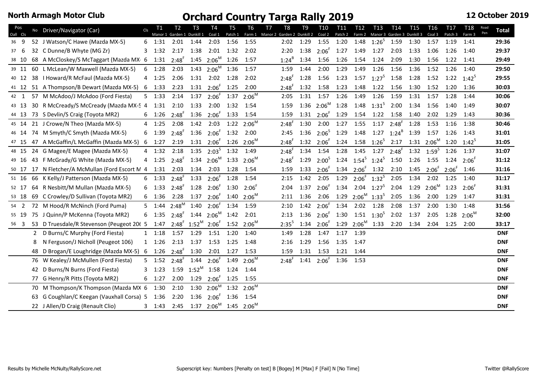| Pos<br>Oall Cls |    | No Driver/Navigator (Car)                      | Cls          | <b>T1</b>                 | Т2<br>Manor 1 Garden 1 Dunkill 1 | T3        | T4<br>Coal 1                                                          | Τ5<br>Patch 1 | T6<br>Farm 1        | T7<br>T8<br>Manor 2 Garden 2 Dunkill 2 | T9   | T <sub>10</sub><br>Coal 2                                         | T <sub>11</sub><br>Patch 2 | T12<br>Farm 2 | T13                           | T14<br>Manor 3 Garden 3 Dunkill 3          | T15  | T16<br>Coal 3                                                                     | T17<br>Patch <sub>3</sub>   | T18<br>Farm 3  | Road<br>Pen | Total      |
|-----------------|----|------------------------------------------------|--------------|---------------------------|----------------------------------|-----------|-----------------------------------------------------------------------|---------------|---------------------|----------------------------------------|------|-------------------------------------------------------------------|----------------------------|---------------|-------------------------------|--------------------------------------------|------|-----------------------------------------------------------------------------------|-----------------------------|----------------|-------------|------------|
| 36 9            |    | 52 J Watson/C Hawe (Mazda MX-5)                |              | 6 1:31                    | 2:01                             | 1:44      | 2:03                                                                  | 1:56          | 1:55                | 2:02                                   | 1:29 |                                                                   |                            |               |                               | 1:55 1:20 1:48 1:26 <sup>5</sup> 1:59 1:30 |      | 1:57                                                                              | 1:19                        | 1:41           |             | 29:36      |
| 37 6            |    | 32 C Dunne/B Whyte (MG Zr)                     |              | $3 \quad 1:32 \quad 2:17$ |                                  |           | 1:38 2:01 1:32                                                        |               | 2:02                | 2:20                                   |      | $1:38$ $2:06^{F}$ $1:27$ $1:49$ $1:27$                            |                            |               |                               | 2:03                                       | 1:33 | 1:06                                                                              | 1:26                        | 1:40           |             | 29:37      |
| 38 10           |    | 68 A McCloskey/S McTaggart (Mazda MX 6         |              |                           | $1:31$ $2:48^F$                  |           | $1:45$ $2:06^M$ $1:26$                                                |               | 1:57                | $1:24^{B}$                             | 1:34 | 1:56                                                              | 1:26                       | 1:54          | 1:24                          | 2:09                                       | 1:30 | 1:56                                                                              | 1:22                        | 1:41           |             | 29:49      |
| 39 11           |    | 60 L McLean/W Maxwell (Mazda MX-5)             | 6            | 1:28                      | 2:03                             |           | 1:43 $2:06^M$ 1:36                                                    |               | 1:57                | 1:59                                   | 1:44 | 2:00                                                              | 1:29                       | 1:49          | 1:26                          | 1:56                                       | 1:36 | 1:52 1:26                                                                         |                             | 1:40           |             | 29:50      |
| 40 12           |    | 38   Howard/R McFaul (Mazda MX-5)              |              | 4 1:25                    | 2:06                             |           | 1:31 2:02 1:28                                                        |               | 2:02                | $2:48^{F}$                             | 1:28 | 1:56                                                              | 1:23                       |               | $1:57$ $1:27^5$ $1:58$        |                                            | 1:28 |                                                                                   | 1:52 1:22 1:42 <sup>5</sup> |                |             | 29:55      |
| 41 12           |    | 51 A Thompson/B Dewart (Mazda MX-5)            | 6            | 1:33                      | 2:23                             |           | $1:31$ $2:06^F$ $1:25$                                                |               | 2:00                | $2:48^{r}$                             |      | 1:32 1:58 1:23                                                    |                            | 1:48          | 1:22 1:56                     |                                            | 1:30 |                                                                                   | 1:52 1:20 1:36              |                |             | 30:03      |
| 42 1            |    | 57 M McAdoo/J McAdoo (Ford Fiesta)             |              | $5 \quad 1:33$            | 2:14                             | 1:37      | $2:06^{F}$ 1:37                                                       |               | $2:06^M$            | 2:05                                   | 1:31 | 1:57                                                              | 1:26                       | 1:49          | 1:26                          | 1:59                                       | 1:31 | 1:57                                                                              | 1:28                        | 1:44           |             | 30:06      |
| 43 13           |    | 30 R McCready/S McCready (Mazda MX-5 4         |              |                           | $1:31$ $2:10$                    | 1:33      | $2:00$ $1:32$                                                         |               | 1:54                | 1:59                                   |      | 1:36 2:06 <sup>M</sup>                                            |                            |               |                               | 1:28 1:48 $1:31^5$ 2:00 1:34               |      | 1:56                                                                              | 1:40                        | 1:49           |             | 30:07      |
| 44 13           |    | 73 S Devlin/S Craig (Toyota MR2)               |              | 6 1:26                    | $2:48^{F}$                       |           | $1:36$ $2:06^F$ $1:33$                                                |               | 1:54                | 1:59                                   |      | $1:31$ $2:06^F$                                                   | 1:29                       |               |                               | 1:54 1:22 1:58 1:40                        |      | 2:02                                                                              | 1:29                        | 1:43           |             | 30:36      |
| 45 14           |    | 21 J Crowe/N Theo (Mazda MX-5)                 |              | 4 1:25                    | 2:08                             | 1:42      | 2:03                                                                  |               | $1:22 \quad 2:06^M$ | $2:48^{F}$                             | 1:30 | 2:00                                                              |                            | $1:27$ $1:55$ |                               | $1:17$ $2:48^F$                            | 1:28 | 1:53                                                                              | 1:16                        | 1:38           |             | 30:46      |
| 46 14           |    | 74 M Smyth/C Smyth (Mazda MX-5)                | 6            | 1:39                      | $2:48^{F}$                       | 1:36      | $2:06^{F}$                                                            | 1:32          | 2:00                | 2:45                                   | 1:36 | $2:06^{5}$                                                        | 1:29                       | 1:48          |                               | 1:27 $1:24^B$                              | 1:39 | 1:57                                                                              | 1:26                        | 1:43           |             | 31:01      |
| 47 15           |    | 47 A McGaffin/L McGaffin (Mazda MX-5)          |              | 6 1:27                    | 2:19                             |           | $1:31$ $2:06^F$ $1:26$ $2:06^M$                                       |               |                     | $2:48^{F}$                             |      | 1:32 $2:06^5$ 1:24 1:58 $1:26^5$ 2:17 1:31 $2:06^M$ 1:20 $1:42^5$ |                            |               |                               |                                            |      |                                                                                   |                             |                |             | 31:05      |
| 48 15           |    | 24 G Magee/E Magee (Mazda MX-5)                |              | 4 1:32                    | 2:18                             |           | 1:35 $2:03^5$ 1:32                                                    |               | 1:49                | $2:48^{\degree}$                       | 1:34 | 1:54                                                              |                            |               |                               |                                            |      | 1:28 1:45 1:27 2:48 <sup>F</sup> 1:32 1:59 <sup>5</sup>                           |                             | 1:26 1:37      |             | 31:07      |
| 49 16           |    | 43 F McGrady/G White (Mazda MX-5)              | 4            | 1:25                      | $2:48^{F}$                       |           | $1:34$ $2:06^M$ 1:33                                                  |               | $2:06^M$            | $2:48^{F}$                             |      | $1:29$ $2:00^5$ $1:24$ $1:54^5$ $1:24^5$ $1:50$ $1:26$            |                            |               |                               |                                            |      |                                                                                   | 1:55 1:24                   | $2:06^{\circ}$ |             | 31:12      |
| 50 17           |    | 17 N Fletcher/A McMullan (Ford Escort M 4      |              | 1:31                      | 2:03                             | 1:34 2:03 |                                                                       | 1:28          | 1:54                | 1:59                                   |      | $1:33$ $2:06^F$                                                   |                            |               |                               |                                            |      | $1:34$ $2:06^{\text{F}}$ $1:32$ $2:10$ $1:45$ $2:06^{\text{F}}$ $2:06^{\text{F}}$ |                             | 1:46           |             | 31:16      |
| 51 16           |    | 66 K Kelly/J Patterson (Mazda MX-5)            |              | $6$ 1:33                  | $2:48^{F}$                       | 1:33      | $2:06^{F}$                                                            | 1:28          | 1:54                | 2:15                                   | 1:42 | 2:05                                                              | 1:29                       |               | $2:06^{F}$ 1:32 <sup>5</sup>  | 2:05                                       | 1:34 | 2:02                                                                              | 1:25                        | 1:40           |             | 31:17      |
| 52 17           |    | 64 R Nesbitt/M Mullan (Mazda MX-5)             | 6            | 1:33                      | $2:48^{F}$                       |           | $1:28$ $2:06^{\text{F}}$ $1:30$                                       |               | $2:06^{\circ}$      | 2:04                                   | 1:37 | $2:06^{F}$                                                        | 1:34                       |               |                               | 2:04 $1:27^5$ 2:04 1:29                    |      | $2:06^M$ 1:23                                                                     |                             | $2:06^{F}$     |             | 31:31      |
| 53 18           |    | 69 C Crowley/D Sullivan (Toyota MR2)           |              | 6 1:36                    | 2:28                             | 1:37      | $2:06^{F}$ 1:40                                                       |               | $2:06^M$            | 2:11                                   | 1:36 | 2:06                                                              |                            |               | $1:29$ $2:06^M$ $1:33^5$ 2:05 |                                            | 1:36 | 2:00                                                                              | 1:29                        | 1:47           |             | 31:31      |
| 54 2            |    | 72 M Hood/R McNinch (Ford Puma)                |              | $5 \quad 1:44$            | $2:48^M$                         | 1:40      | $2:06^{F}$                                                            | 1:34          | 1:59                | 2:10                                   | 1:42 | $2:06^{F}$                                                        | 1:34                       | 2:02          | 1:28                          | 2:08                                       | 1:37 | 2:00                                                                              | 1:30                        | 1:48           |             | 31:56      |
| 55 19           |    | 75 J Quinn/P McKenna (Toyota MR2)              |              | $6$ 1:35                  | $2:48^{F}$                       |           | $1:44$ $2:06^M$                                                       | 1:42          | 2:01                | 2:13                                   |      | $1:36$ $2:06^{F}$                                                 |                            |               | $1:30$ $1:51$ $1:30^5$        | 2:02 1:37                                  |      | 2:05                                                                              | 1:28                        | $2:06^M$       |             | 32:00      |
| 56 3            |    | 53 D Truesdale/R Stevenson (Peugeot 206 5 1:47 |              |                           |                                  |           | $2:48^{F}$ 1:52 <sup>M</sup> 2:06 <sup>F</sup> 1:52 2:06 <sup>M</sup> |               |                     | $2:35^{5}$                             |      | $1:34$ $2:06^F$                                                   |                            |               |                               | $1:29$ $2:06^M$ $1:33$ $2:20$ $1:34$       |      |                                                                                   | 2:04 1:25 2:00              |                |             | 33:17      |
|                 | 2  | D Burns/C Murphy (Ford Fiesta)                 | $\mathbf{1}$ | 1:18                      | 1:57                             | 1:29      | 1:51 1:20                                                             |               | 1:40                | 1:49                                   | 1:28 | 1:47                                                              | 1:17                       | 1:39          |                               |                                            |      |                                                                                   |                             |                |             | <b>DNF</b> |
|                 | 8  | N Ferguson/J Nicholl (Peugeot 106)             |              | 1 1:26                    | 2:13                             | 1:37      | 1:53 1:25                                                             |               | 1:48                | 2:16                                   | 1:29 | 1:56                                                              | 1:35                       | 1:47          |                               |                                            |      |                                                                                   |                             |                |             | <b>DNF</b> |
|                 | 48 | D Brogan/E Loughridge (Mazda MX-5) 6           |              | 1:26                      | $2:48^{F}$                       | 1:30      | $2:01$ $1:27$                                                         |               | 1:53                | 1:59                                   | 1:31 | 1:53                                                              | $1:21$ $1:44$              |               |                               |                                            |      |                                                                                   |                             |                |             | <b>DNF</b> |
|                 |    | 76 W Kealey/J McMullen (Ford Fiesta)           |              | $5 \quad 1:52$            | $2:48^{F}$                       | 1:44      | $2:06^{F}$ 1:49                                                       |               | $2:06^M$            | $2:48^{F}$                             |      | $1:41$ $2:06^F$                                                   | 1:36                       | 1:53          |                               |                                            |      |                                                                                   |                             |                |             | <b>DNF</b> |
|                 | 42 | D Burns/N Burns (Ford Fiesta)                  | 3            | 1:23                      |                                  |           | $1:59$ $1:52^M$ $1:58$ $1:24$                                         |               | 1:44                |                                        |      |                                                                   |                            |               |                               |                                            |      |                                                                                   |                             |                |             | <b>DNF</b> |
|                 |    | 77 G Henry/R Pitts (Toyota MR2)                |              | $6$ 1:27                  | 2:00                             | 1:29      | $2:06^{F}$ 1:25                                                       |               | 1:55                |                                        |      |                                                                   |                            |               |                               |                                            |      |                                                                                   |                             |                |             | <b>DNF</b> |
|                 |    | 70 M Thompson/K Thompson (Mazda MX 6           |              | 1:30                      | 2:10                             | 1:30      | $2:06^M$                                                              | 1:32          | $2:06^M$            |                                        |      |                                                                   |                            |               |                               |                                            |      |                                                                                   |                             |                |             | <b>DNF</b> |
|                 |    | 63 G Coughlan/C Keegan (Vauxhall Corsa) 5      |              | 1:36                      | 2:20                             |           | $1:36$ $2:06^{F}$                                                     | 1:36          | 1:54                |                                        |      |                                                                   |                            |               |                               |                                            |      |                                                                                   |                             |                |             | <b>DNF</b> |
|                 |    | 22 J Allen/D Craig (Renault Clio)              |              |                           |                                  |           | 3 1:43 2:45 1:37 2:06 <sup>M</sup> 1:45 2:06 <sup>M</sup>             |               |                     |                                        |      |                                                                   |                            |               |                               |                                            |      |                                                                                   |                             |                |             | <b>DNF</b> |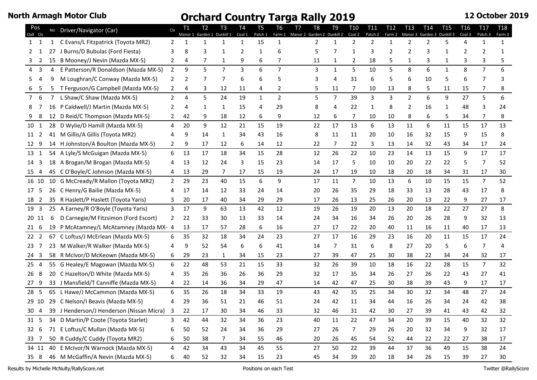| Pos<br>Oall Cls |    | No Driver/Navigator (Car)                        | Cls          | T1<br>Manor 1 | Т2<br>Garden 1 | T <sub>3</sub><br>Dunkill 1 | T <sub>4</sub><br>Coal 1 | T <sub>5</sub><br>Patch 1 | Т6<br>Farm 1   | T7<br>Manor 2 | T8<br>Garden 2 | T9<br>Dunkill 2 | T <sub>10</sub><br>Coal 2 | T <sub>11</sub><br>Patch 2 | T12<br>Farm 2 | T <sub>13</sub><br>Manor 3 | T <sub>14</sub><br>Garden 3 | <b>T15</b><br>Dunkill 3 | T <sub>16</sub><br>Coal 3 | T <sub>17</sub><br>Patch 3 | <b>T18</b><br>Farm 3 |
|-----------------|----|--------------------------------------------------|--------------|---------------|----------------|-----------------------------|--------------------------|---------------------------|----------------|---------------|----------------|-----------------|---------------------------|----------------------------|---------------|----------------------------|-----------------------------|-------------------------|---------------------------|----------------------------|----------------------|
| $1 \quad 1$     | 1  | C Evans/L Fitzpatrick (Toyota MR2)               | 2            | 1             |                | 1                           | $\mathbf{1}$             | 15                        | $\mathbf{1}$   |               | $\overline{2}$ | 1               | $\overline{2}$            | $\overline{2}$             | $\mathbf{1}$  | $\overline{2}$             | 2                           | 5                       | 4                         | $\mathbf{1}$               | $\mathbf{1}$         |
| 2               | 27 | J Burns/D Bubulas (Ford Fiesta)                  | 3            | 8             |                | 1                           | 2                        | 1                         | 6              |               | 5              | 7               | 1                         | 3                          | 2             | 2                          | 3                           | 1                       |                           |                            | 1                    |
| 2<br>3          |    | 15 B Mooney/J Nevin (Mazda MX-5)                 | 2            | 4             | 7              | 1                           | 9                        | 6                         |                |               | 11             |                 | 2                         | 18                         | 5             | 1                          | 3                           | 1                       |                           |                            |                      |
| 3<br>4          | 4  | E Patterson/R Donaldson (Mazda MX-5)             | 2            | 9             | 5              | $\overline{7}$              | 3                        | 6                         | $\overline{7}$ |               | 3              | 1               | 5                         | 10                         | 5             | 8                          | 6                           | $\mathbf{1}$            | 8                         | $\overline{7}$             | 6                    |
| 4<br>5.         | 9  | M Loughran/C Conway (Mazda MX-5)                 | 2            | 2             |                | 7                           | 6                        | 6                         | 5              |               | 3              | 4               | 31                        | 6                          | 5             | 6                          | 10                          | 5                       | 6                         | 7                          |                      |
| 5               | 5  | T Ferguson/G Campbell (Mazda MX-5)               | $2^{\circ}$  | 4             |                | 12                          | 11                       | 4                         | $\overline{2}$ |               |                | 11              | 7                         | 10                         | 13            | 8                          | 5                           | 11                      | 15                        | 7                          |                      |
| 7 6             |    | L Shaw/C Shaw (Mazda MX-5)                       | 2            | 4             | 5.             | 24                          | 19                       | $\mathbf{1}$              | $\overline{2}$ |               | 5              | 7               | 39                        | 3                          | 3             | $\overline{2}$             | 6                           | 9                       | 27                        | 5                          | 6                    |
| 8               | 16 | P Caldwell/J Martin (Mazda MX-5)                 |              | 4             |                | 1                           | 15                       | 4                         | 29             |               | 8              | 4               | 22                        | 1                          | 8             | 2                          | 16                          | 1                       | 48                        | 3                          | 24                   |
| 8               |    | 12 D Reid/C Thompson (Mazda MX-5)                |              | 42            | 9              | 18                          | 12                       | 6                         | 9              |               | 12             | 6               | 7                         | 10                         | 10            | 8                          | 6                           | 5                       | 34                        | 7                          | 8                    |
| 10 1            |    | 28 D Wylie/D Hamill (Mazda MX-5)                 | 4            | 20            | 9              | 12                          | 21                       | 15                        | 19             |               | 22             | 17              | 13                        | 6                          | 13            | 11                         | 6                           | 11                      | 15                        | 17                         | 13                   |
| 11 2            |    | 41 M Gillis/A Gillis (Toyota MR2)                |              | 9             | 14             | 1                           | 34                       | 43                        | 16             |               | 8              | 11              | 11                        | 20                         | 10            | 16                         | 32                          | 15                      | 9                         | 15                         | 8                    |
| 12 9            |    | 14 H Johnston/A Boulton (Mazda MX-5)             | 2            | 9             | 17             | 12                          | 6                        | 14                        | 12             |               | 22             | 7               | 22                        | 3                          | 13            | 14                         | 32                          | 43                      | 34                        | 17                         | 24                   |
| 13 1            |    | 54 A Lyle/S McGuigan (Mazda MX-5)                | 6            | 13            | 17             | 18                          | 34                       | 15                        | 28             |               | 12             | 26              | 22                        | 10                         | 23            | 14                         | 13                          | 15                      | 9                         | 17                         | 17                   |
| 14 3            | 18 | A Brogan/M Brogan (Mazda MX-5)                   |              | 13            | 12             | 24                          | 3                        | 15                        | 23             |               | 14             | 17              | 5                         | 10                         | 10            | 20                         | 22                          | 22                      | 5                         | 7                          | 52                   |
| 15 4            |    | 45 C O'Boyle/C Johnson (Mazda MX-5)              | 4            | 13            | 29             | 7                           | 17                       | 15                        | 19             |               | 24             | 17              | 19                        | 10                         | 18            | 20                         | 18                          | 34                      | 31                        | 17                         | 30                   |
| 16 10           |    | 10 G McCready/R Mallon (Toyota MR2)              | $\mathbf{2}$ | 29            | 23             | 40                          | 15                       | 6                         | 9              |               | 17             | 11              | $\overline{7}$            | 10                         | 13            | 6                          | 10                          | 15                      | 15                        | $\overline{7}$             | 52                   |
| 17 5            |    | 26 C Henry/G Bailie (Mazda MX-5)                 |              | 17            | 14             | 12                          | 33                       | 24                        | 14             |               | 20             | 26              | 35                        | 29                         | 18            | 33                         | 13                          | 28                      | 43                        | 17                         | 8                    |
| 18 2            |    | 35 R Haslett/P Haslett (Toyota Yaris)            |              | 20            | 17             | 40                          | 34                       | 29                        | 29             |               | 17             | 26              | 13                        | 25                         | 26            | 20                         | 13                          | 22                      | 9                         | 27                         | 17                   |
| 19 3            |    | 25 A Earney/R O'Boyle (Toyota Yaris)             | 3            | 17            | 9              | 63                          | 13                       | 42                        | 12             |               | 19             | 26              | 19                        | 20                         | 13            | 20                         | 18                          | 22                      | 27                        | 27                         | 8                    |
| 20 11           | 6  | D Carnegie/M Fitzsimon (Ford Escort)             | 2            | 22            | 33             | 30                          | 13                       | 33                        | 14             |               | 24             | 34              | 16                        | 34                         | 26            | 20                         | 26                          | 28                      | 9                         | 32                         | 13                   |
| 216             | 19 | P McAtamney/L McAtamney (Mazda MX- 4             |              | 13            | 17             | 57                          | 28                       | 6                         | 16             |               | 27             | 17              | 22                        | 20                         | 40            | 11                         | 16                          | 11                      | 40                        | 17                         | 13                   |
| 22 <sub>2</sub> |    | 67 C Loftus/J McErlean (Mazda MX-5)              | 6            | 35            | 32             | 18                          | 34                       | 24                        | 23             |               | 27             | 17              | 16                        | 29                         | 23            | 16                         | 20                          | 11                      | 15                        | 17                         | 24                   |
| 23 7            | 23 | M Walker/R Walker (Mazda MX-5)                   |              | 9             | 52             | 54                          | 6                        | 6                         | 41             |               | 14             | 7               | 31                        | 6                          | 8             | 27                         | 20                          | 5                       | 6                         | 7                          |                      |
| 24 3            |    | 58 R McIvor/D McKeown (Mazda MX-5)               | 6            | 29            | 23             | 1                           | 34                       | 15                        | 23             |               | 27             | 39              | 47                        | 25                         | 30            | 38                         | 22                          | 34                      | 24                        | 32                         | 17                   |
| 25 <sub>4</sub> |    | 55 G Healey/E Magowan (Mazda MX-5)               | 6            | 22            | 48             | 53                          | 21                       | 15                        | 33             |               | 32             | 26              | 39                        | 10                         | 18            | 16                         | 22                          | 28                      | 15                        | $\overline{7}$             | 32                   |
| 26 8            |    | 20 C Hazelton/D White (Mazda MX-5)               |              | 35            | 26             | 36                          | 26                       | 36                        | 29             |               | 32             | 17              | 35                        | 34                         | 26            | 27                         | 26                          | 22                      | 43                        | 27                         | 41                   |
| 27 9            |    | 33 J Mansfield/T Canniffe (Mazda MX-5)           | 4            | 22            | 14             | 36                          | 34                       | 29                        | 47             |               | 14             | 42              | 47                        | 25                         | 30            | 38                         | 39                          | 43                      | 9                         | 17                         | 17                   |
| 28 5            |    | 65 L Hawe/J McCammon (Mazda MX-5)                | 6            | 35            | 26             | 18                          | 34                       | 33                        | 19             |               | 43             | 42              | 35                        | 25                         | 34            | 30                         | 32                          | 34                      | 48                        | 27                         | 24                   |
| 29 10           |    | 29 C Nelson/I Beavis (Mazda MX-5)                | 4            | 29            | 36             | 51                          | 21                       | 46                        | 51             |               | 24             | 42              | 11                        | 34                         | 44            | 16                         | 26                          | 34                      | 24                        | 42                         | 38                   |
|                 |    | 30 4 39 J Henderson/J Henderson (Nissan Micra) 3 |              | 22            | 17             | 30                          | 34                       | 46                        | 33             |               | 32             | 46              | 31                        | 42                         | 30            | 27                         | 39                          | 41                      | 43                        | 42                         | 32                   |
| 31 5            |    | 34 D Martin/P Coote (Toyota Starlet)             | 3            | 42            | 44             | 32                          | 34                       | 36                        | 23             |               | 40             | 11              | 22                        | 47                         | 34            | 20                         | 39                          | 15                      | 40                        | 32                         | 32                   |
| 32 6            |    | 71 E Loftus/C Mullan (Mazda MX-5)                | 6            | 50            | 52             | 24                          | 34                       | 36                        | 29             |               | 27             | 26              | 7                         | 29                         | 26            | 20                         | 32                          | 34                      | 9                         | 32                         | 17                   |
| 33 7            |    | 50 R Cuddy/C Cuddy (Toyota MR2)                  | 6            | 50            | 38             | 7                           | 34                       | 55                        | 46             |               | 20             | 26              | 45                        | 54                         | 52            | 44                         | 22                          | 22                      | 27                        | 38                         | 17                   |
| 34 11           |    | 40 E McIvor/N Warnock (Mazda MX-5)               | 4            | 42            | 34             | 43                          | 34                       | 45                        | 55             |               | 27             | 50              | 22                        | 39                         | 44            | 37                         | 36                          | 49                      | 15                        | 38                         | 24                   |
| 35 8            |    | 46 M McGaffin/A Nevin (Mazda MX-5)               | 6            | 40            | 52             | 32                          | 34                       | 15                        | 23             |               | 45             | 34              | 39                        | 20                         | 18            | 34                         | 26                          | 15                      | 39                        | 27                         | 30                   |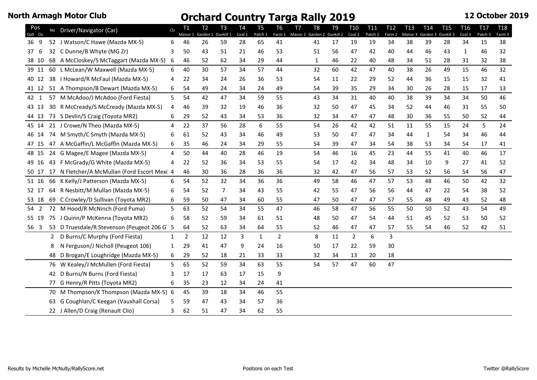| Pos<br>Oall Cls |    | No Driver/Navigator (Car)                    | Cls | <b>T1</b><br>Manor 1 | T <sub>2</sub><br>Garden 1 | T <sub>3</sub><br>Dunkill 1 | T <sub>4</sub><br>Coal 1 | T <sub>5</sub><br>Patch 1 | T <sub>6</sub><br>Farm 1 | T <sub>7</sub><br>Manor 2 | T8<br>Garden 2 | T <sub>9</sub><br>Dunkill 2 | T <sub>10</sub><br>Coal 2 | T <sub>11</sub><br>Patch 2 | T <sub>12</sub><br>Farm 2 | T <sub>13</sub><br>Manor 3 | T <sub>14</sub><br>Garden 3 | T <sub>15</sub><br>Dunkill 3 | T <sub>16</sub><br>Coal 3 | T <sub>17</sub><br>Patch <sub>3</sub> | <b>T18</b><br>Farm 3 |
|-----------------|----|----------------------------------------------|-----|----------------------|----------------------------|-----------------------------|--------------------------|---------------------------|--------------------------|---------------------------|----------------|-----------------------------|---------------------------|----------------------------|---------------------------|----------------------------|-----------------------------|------------------------------|---------------------------|---------------------------------------|----------------------|
| 36 9            |    | 52 J Watson/C Hawe (Mazda MX-5)              | 6   | 46                   | 26                         | 59                          | 28                       | 65                        | 41                       |                           | 41             | 17                          | 19                        | 19                         | 34                        | 38                         | 39                          | 28                           | 34                        | 15                                    | 38                   |
| 37<br>-6        |    | 32 C Dunne/B Whyte (MG Zr)                   | 3   | 50                   | 43                         | 51                          | 21                       | 46                        | 53                       |                           | 51             | 56                          | 47                        | 42                         | 40                        | 44                         | 46                          | 43                           | $\mathbf{1}$              | 46                                    | 32                   |
| 38 10           |    | 68 A McCloskey/S McTaggart (Mazda MX-5)      | 6   | 46                   | 52                         | 62                          | 34                       | 29                        | 44                       |                           | $\mathbf{1}$   | 46                          | 22                        | 40                         | 48                        | 34                         | 51                          | 28                           | 31                        | 32                                    | 38                   |
| 39 11           |    | 60 L McLean/W Maxwell (Mazda MX-5)           | 6   | 40                   | 30                         | 57                          | 34                       | 57                        | 44                       |                           | 32             | 60                          | 42                        | 47                         | 40                        | 38                         | 26                          | 49                           | 15                        | 46                                    | 32                   |
| 40 12           |    | 38   Howard/R McFaul (Mazda MX-5)            | 4   | 22                   | 34                         | 24                          | 26                       | 36                        | 53                       |                           | 54             | 11                          | 22                        | 29                         | 52                        | 44                         | 36                          | 15                           | 15                        | 32                                    | 41                   |
| 41 12           |    | 51 A Thompson/B Dewart (Mazda MX-5)          | 6   | 54                   | 49                         | 24                          | 34                       | 24                        | 49                       |                           | 54             | 39                          | 35                        | 29                         | 34                        | 30                         | 26                          | 28                           | 15                        | 17                                    | 13                   |
| 42 1            |    | 57 M McAdoo/J McAdoo (Ford Fiesta)           | 5   | 54                   | 42                         | 47                          | 34                       | 59                        | 55                       |                           | 43             | 34                          | 31                        | 40                         | 40                        | 38                         | 39                          | 34                           | 34                        | 50                                    | 46                   |
| 43 13           |    | 30 R McCready/S McCready (Mazda MX-5)        | 4   | 46                   | 39                         | 32                          | 19                       | 46                        | 36                       |                           | 32             | 50                          | 47                        | 45                         | 34                        | 52                         | 44                          | 46                           | 31                        | 55                                    | 50                   |
| 44 13           |    | 73 S Devlin/S Craig (Toyota MR2)             | 6   | 29                   | 52                         | 43                          | 34                       | 53                        | 36                       |                           | 32             | 34                          | 47                        | 47                         | 48                        | 30                         | 36                          | 55                           | 50                        | 52                                    | 44                   |
| 45 14           |    | 21 J Crowe/N Theo (Mazda MX-5)               | 4   | 22                   | 37                         | 56                          | 28                       | 6                         | 55                       |                           | 54             | 26                          | 42                        | 42                         | 51                        | 11                         | 55                          | 15                           | 24                        | 5                                     | 24                   |
| 46 14           |    | 74 M Smyth/C Smyth (Mazda MX-5)              | 6   | 61                   | 52                         | 43                          | 34                       | 46                        | 49                       |                           | 53             | 50                          | 47                        | 47                         | 34                        | 44                         | $\mathbf{1}$                | 54                           | 34                        | 46                                    | 44                   |
| 47 15           |    | 47 A McGaffin/L McGaffin (Mazda MX-5)        | 6   | 35                   | 46                         | 24                          | 34                       | 29                        | 55                       |                           | 54             | 39                          | 47                        | 34                         | 54                        | 38                         | 53                          | 34                           | 54                        | 17                                    | 41                   |
| 48 15           |    | 24 G Magee/E Magee (Mazda MX-5)              | 4   | 50                   | 44                         | 40                          | 28                       | 46                        | 19                       |                           | 54             | 46                          | 16                        | 45                         | 23                        | 44                         | 55                          | 41                           | 40                        | 46                                    | 17                   |
| 49 16           |    | 43 F McGrady/G White (Mazda MX-5)            | 4   | 22                   | 52                         | 36                          | 34                       | 53                        | 55                       |                           | 54             | 17                          | 42                        | 34                         | 48                        | 34                         | 10                          | 9                            | 27                        | 41                                    | 52                   |
| 50 17           |    | 17 N Fletcher/A McMullan (Ford Escort Mexi 4 |     | 46                   | 30                         | 36                          | 28                       | 36                        | 36                       |                           | 32             | 42                          | 47                        | 56                         | 57                        | 53                         | 52                          | 56                           | 54                        | 56                                    | 47                   |
| 51 16           |    | 66 K Kelly/J Patterson (Mazda MX-5)          | 6   | 54                   | 52                         | 32                          | 34                       | 36                        | 36                       |                           | 49             | 58                          | 46                        | 47                         | 57                        | 53                         | 48                          | 46                           | 50                        | 42                                    | 32                   |
| 52 17           |    | 64 R Nesbitt/M Mullan (Mazda MX-5)           | 6   | 54                   | 52                         | 7                           | 34                       | 43                        | 55                       |                           | 42             | 55                          | 47                        | 56                         | 56                        | 44                         | 47                          | 22                           | 54                        | 38                                    | 52                   |
| 53 18           |    | 69 C Crowley/D Sullivan (Toyota MR2)         | 6   | 59                   | 50                         | 47                          | 34                       | 60                        | 55                       |                           | 47             | 50                          | 47                        | 47                         | 57                        | 55                         | 48                          | 49                           | 43                        | 52                                    | 48                   |
| 54 2            |    | 72 M Hood/R McNinch (Ford Puma)              | 5   | 63                   | 52                         | 54                          | 34                       | 55                        | 47                       |                           | 46             | 58                          | 47                        | 56                         | 55                        | 50                         | 50                          | 52                           | 43                        | 54                                    | 49                   |
| 55 19           |    | 75 J Quinn/P McKenna (Toyota MR2)            | 6   | 58                   | 52                         | 59                          | 34                       | 61                        | 51                       |                           | 48             | 50                          | 47                        | 54                         | 44                        | 51                         | 45                          | 52                           | 53                        | 50                                    | 52                   |
| 56 3            |    | 53 D Truesdale/R Stevenson (Peugeot 206 G 5  |     | 64                   | 52                         | 63                          | 34                       | 64                        | 55                       |                           | 52             | 46                          | 47                        | 47                         | 57                        | 55                         | 54                          | 46                           | 52                        | 42                                    | 51                   |
|                 | 2  | D Burns/C Murphy (Ford Fiesta)               | 1   | $\overline{2}$       | 12                         | 12                          | 3                        | $\mathbf{1}$              | $\overline{2}$           |                           | 8              | 11                          | $\overline{2}$            | 6                          | 3                         |                            |                             |                              |                           |                                       |                      |
|                 | 8  | N Ferguson/J Nicholl (Peugeot 106)           | 1   | 29                   | 41                         | 47                          | 9                        | 24                        | 16                       |                           | 50             | 17                          | 22                        | 59                         | 30                        |                            |                             |                              |                           |                                       |                      |
|                 | 48 | D Brogan/E Loughridge (Mazda MX-5)           | 6   | 29                   | 52                         | 18                          | 21                       | 33                        | 33                       |                           | 32             | 34                          | 13                        | 20                         | 18                        |                            |                             |                              |                           |                                       |                      |
|                 | 76 | W Kealey/J McMullen (Ford Fiesta)            | 5   | 65                   | 52                         | 59                          | 34                       | 63                        | 55                       |                           | 54             | 57                          | 47                        | 60                         | 47                        |                            |                             |                              |                           |                                       |                      |
|                 | 42 | D Burns/N Burns (Ford Fiesta)                | 3   | 17                   | 17                         | 63                          | 17                       | 15                        | 9                        |                           |                |                             |                           |                            |                           |                            |                             |                              |                           |                                       |                      |
|                 | 77 | G Henry/R Pitts (Toyota MR2)                 | 6   | 35                   | 23                         | 12                          | 34                       | 24                        | 41                       |                           |                |                             |                           |                            |                           |                            |                             |                              |                           |                                       |                      |
|                 | 70 | M Thompson/K Thompson (Mazda MX-5) 6         |     | 45                   | 39                         | 18                          | 34                       | 46                        | 55                       |                           |                |                             |                           |                            |                           |                            |                             |                              |                           |                                       |                      |
|                 |    | 63 G Coughlan/C Keegan (Vauxhall Corsa)      | 5   | 59                   | 47                         | 43                          | 34                       | 57                        | 36                       |                           |                |                             |                           |                            |                           |                            |                             |                              |                           |                                       |                      |
|                 |    | 22 J Allen/D Craig (Renault Clio)            | 3   | 62                   | 51                         | 47                          | 34                       | 62                        | 55                       |                           |                |                             |                           |                            |                           |                            |                             |                              |                           |                                       |                      |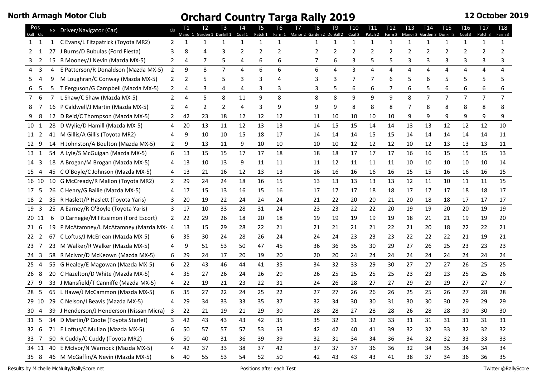| Pos<br>Oall Cls |              | No Driver/Navigator (Car)                        | <b>CIs</b>     | T1<br>Manor 1 | T2.<br>Garden 1 | T <sub>3</sub><br>Dunkill 1 | T <sub>4</sub><br>Coal 1 | T <sub>5</sub><br>Patch 1 | T6<br>Farm 1 | T7<br>Manor 2 Garden 2 | T8 | T <sub>9</sub><br>Dunkill 2 | T <sub>10</sub><br>Coal 2 | <b>T11</b><br>Patch 2 | T12<br>Farm 2  | T13<br>Manor 3 | T <sub>14</sub><br>Garden 3 | T15<br>Dunkill 3 | T <sub>16</sub><br>Coal 3 | T <sub>17</sub><br>Patch 3 | <b>T18</b><br>Farm 3 |
|-----------------|--------------|--------------------------------------------------|----------------|---------------|-----------------|-----------------------------|--------------------------|---------------------------|--------------|------------------------|----|-----------------------------|---------------------------|-----------------------|----------------|----------------|-----------------------------|------------------|---------------------------|----------------------------|----------------------|
| 1 1             | $\mathbf{1}$ | C Evans/L Fitzpatrick (Toyota MR2)               | 2              |               |                 | $\mathbf{1}$                | $\mathbf{1}$             | $\mathbf{1}$              | 1            |                        | 1  | $\mathbf{1}$                | $\mathbf{1}$              | $\mathbf{1}$          | 1              | 1              | $\mathbf 1$                 | 1                | $\mathbf{1}$              | $\mathbf{1}$               | $\mathbf{1}$         |
| 2               | 27           | J Burns/D Bubulas (Ford Fiesta)                  | 3              |               |                 | 3                           | 2                        | 2                         | 2            |                        |    | 2                           | 2                         | 2                     | $\overline{2}$ | 2              |                             | 2                | 2                         |                            | 2                    |
| 3 2             |              | 15 B Mooney/J Nevin (Mazda MX-5)                 | 2              | 4             |                 | 5                           | 4                        | 6                         | 6            |                        |    | 6                           | 3                         | 5                     | 5              | 3              | 3                           | 3                |                           | 3                          |                      |
| 4 <sub>3</sub>  | 4            | E Patterson/R Donaldson (Mazda MX-5)             | $\overline{2}$ | 9             | 8               | $\overline{7}$              | 4                        | 6                         | 6            |                        | 6  | 4                           | 3                         | 4                     | 4              | 4              | 4                           | 4                | 4                         | 4                          |                      |
| 5.<br>4         | q            | M Loughran/C Conway (Mazda MX-5)                 | 2              | 2             |                 | 5                           | 3                        | 3                         | 4            |                        |    | 3                           | 7                         | 7                     | 6              |                | 6                           | 5                | 5                         | 5                          |                      |
| 5               | 5            | T Ferguson/G Campbell (Mazda MX-5)               | $\mathbf{2}$   | 4             |                 | 4                           | 4                        | 3                         | 3            |                        |    |                             | 6                         | 6                     | 7              | 6              |                             |                  |                           |                            |                      |
| 76              |              | L Shaw/C Shaw (Mazda MX-5)                       | $\mathbf{2}$   | 4             | 5               | 8                           | 11                       | 9                         | 8            |                        | 8  | 8                           | 9                         | 9                     | 9              | 8              | $\overline{7}$              | $\overline{7}$   | $\overline{7}$            | $\overline{7}$             | $\overline{7}$       |
| 8               | 16           | P Caldwell/J Martin (Mazda MX-5)                 |                |               | 2               | 2                           | 4                        | 3                         | 9            |                        |    | 9                           | 8                         | 8                     | 8              |                | 8                           | 8                |                           | 8                          |                      |
| 8               |              | 12 D Reid/C Thompson (Mazda MX-5)                | 2              | 42            | 23              | 18                          | 12                       | 12                        | 12           |                        | 11 | 10                          | 10                        | 10                    | 10             | 9              | 9                           |                  |                           | 9                          |                      |
| 10 1            |              | 28 D Wylie/D Hamill (Mazda MX-5)                 | 4              | 20            | 13              | 11                          | 12                       | 13                        | 13           |                        | 14 | 15                          | 15                        | 14                    | 14             | 13             | 13                          | 12               | 12                        | 12                         | 10                   |
| 11 2            |              | 41 M Gillis/A Gillis (Toyota MR2)                |                | 9             | 10              | 10                          | 15                       | 18                        | 17           |                        | 14 | 14                          | 14                        | 15                    | 15             | 14             | 14                          | 14               | 14                        | 14                         | 11                   |
| 12 9            |              | 14 H Johnston/A Boulton (Mazda MX-5)             | 2              | 9             | 13              | 11                          | 9                        | 10                        | 10           |                        | 10 | 10                          | 12                        | 12                    | 12             | 10             | 12                          | 13               | 13                        | 13                         | 11                   |
| 13 1            |              | 54 A Lyle/S McGuigan (Mazda MX-5)                | 6              | 13            | 15              | 15                          | 17                       | 17                        | 18           |                        | 18 | 18                          | 17                        | 17                    | 17             | 16             | 16                          | 15               | 15                        | 15                         | 13                   |
| 14 3            |              | 18 A Brogan/M Brogan (Mazda MX-5)                |                | 13            | 10              | 13                          | 9                        | 11                        | 11           |                        | 11 | 12                          | 11                        | 11                    | 11             | 10             | 10                          | 10               | 10                        | 10                         | 14                   |
| 15 4            |              | 45 C O'Boyle/C Johnson (Mazda MX-5)              | 4              | 13            | 21              | 16                          | 12                       | 13                        | 13           |                        | 16 | 16                          | 16                        | 16                    | 16             | 15             | 15                          | 16               | 16                        | 16                         | 15                   |
| 16 10           |              | 10 G McCready/R Mallon (Toyota MR2)              | $\overline{2}$ | 29            | 24              | 24                          | 18                       | 16                        | 15           |                        | 13 | 13                          | 13                        | 13                    | 13             | 12             | 11                          | 10               | 11                        | 11                         | 15                   |
| 17 5            |              | 26 C Henry/G Bailie (Mazda MX-5)                 |                | 17            | 15              | 13                          | 16                       | 15                        | 16           |                        | 17 | 17                          | 17                        | 18                    | 18             | 17             | 17                          | 17               | 18                        | 18                         | 17                   |
| 18 2            |              | 35 R Haslett/P Haslett (Toyota Yaris)            |                | 20            | 19              | 22                          | 24                       | 24                        | 24           |                        | 21 | 22                          | 20                        | 20                    | 21             | 20             | 18                          | 18               | 17                        | 17                         | 17                   |
| 19 <sub>3</sub> |              | 25 A Earney/R O'Boyle (Toyota Yaris)             | 3              | 17            | 10              | 33                          | 28                       | 31                        | 24           |                        | 23 | 23                          | 22                        | 22                    | 20             | 19             | 19                          | 20               | 20                        | 19                         | 19                   |
| 20 11           | 6            | D Carnegie/M Fitzsimon (Ford Escort)             | 2              | 22            | 29              | 26                          | 18                       | 20                        | 18           |                        | 19 | 19                          | 19                        | 19                    | 19             | 18             | 21                          | 21               | 19                        | 19                         | 20                   |
| 216             | 19           | P McAtamney/L McAtamney (Mazda MX- 4             |                | 13            | 15              | 29                          | 28                       | 22                        | 21           |                        | 21 | 21                          | 21                        | 21                    | 22             | 21             | 20                          | 18               | 22                        | 22                         | 21                   |
| 22 <sub>2</sub> |              | 67 C Loftus/J McErlean (Mazda MX-5)              | 6              | 35            | 30              | 24                          | 28                       | 26                        | 24           |                        | 24 | 24                          | 23                        | 23                    | 23             | 22             | 22                          | 22               | 21                        | 19                         | 21                   |
| 23 7            |              | 23 M Walker/R Walker (Mazda MX-5)                |                | 9             | 51              | 53                          | 50                       | 47                        | 45           |                        | 36 | 36                          | 35                        | 30                    | 29             | 27             | 26                          | 25               | 23                        | 23                         | 23                   |
| 24 <sub>3</sub> |              | 58 R McIvor/D McKeown (Mazda MX-5)               | 6              | 29            | 24              | 17                          | 20                       | 19                        | 20           |                        | 20 | 20                          | 24                        | 24                    | 24             | 24             | 24                          | 24               | 24                        | 24                         | 24                   |
| 25 4            |              | 55 G Healey/E Magowan (Mazda MX-5)               | 6              | 22            | 43              | 46                          | 44                       | 41                        | 35           |                        | 34 | 32                          | 33                        | 29                    | 30             | 27             | 27                          | 27               | 26                        | 25                         | 25                   |
| 26 8            |              | 20 C Hazelton/D White (Mazda MX-5)               |                | 35            | 27              | 26                          | 24                       | 26                        | 29           |                        | 26 | 25                          | 25                        | 25                    | 25             | 23             | 23                          | 23               | 25                        | 25                         | 26                   |
| 27 <sup>9</sup> |              | 33 J Mansfield/T Canniffe (Mazda MX-5)           | 4              | 22            | 19              | 21                          | 23                       | 22                        | 31           |                        | 24 | 26                          | 28                        | 27                    | 27             | 29             | 29                          | 29               | 27                        | 27                         | 27                   |
| 28 5            |              | 65 L Hawe/J McCammon (Mazda MX-5)                | 6              | 35            | 27              | 22                          | 24                       | 25                        | 22           |                        | 27 | 27                          | 26                        | 26                    | 26             | 25             | 25                          | 26               | 27                        | 28                         | 28                   |
| 29 10           |              | 29 C Nelson/I Beavis (Mazda MX-5)                |                | 29            | 34              | 33                          | 33                       | 35                        | 37           |                        | 32 | 34                          | 30                        | 30                    | 31             | 30             | 30                          | 30               | 29                        | 29                         | 29                   |
|                 |              | 30 4 39 J Henderson/J Henderson (Nissan Micra) 3 |                | 22            | 21              | 19                          | 21                       | 29                        | $30\,$       |                        | 28 | 28                          | 27                        | 28                    | 28             | 26             | 28                          | 28               | 30                        | 30                         | 30                   |
| 31 5            |              | 34 D Martin/P Coote (Toyota Starlet)             | 3              | 42            | 43              | 43                          | 43                       | 42                        | 35           |                        | 35 | 32                          | 31                        | 32                    | 33             | 31             | 31                          | 31               | 31                        | 31                         | 31                   |
| 32 6            |              | 71 E Loftus/C Mullan (Mazda MX-5)                | 6              | 50            | 57              | 57                          | 57                       | 53                        | 53           |                        | 42 | 42                          | 40                        | 41                    | 39             | 32             | 32                          | 33               | 32                        | 32                         | 32                   |
| 33 7            |              | 50 R Cuddy/C Cuddy (Toyota MR2)                  | 6              | 50            | 40              | 31                          | 36                       | 39                        | 39           |                        | 32 | 31                          | 34                        | 34                    | 36             | 34             | 32                          | 32               | 33                        | 33                         | 33                   |
| 34 11           |              | 40 E McIvor/N Warnock (Mazda MX-5)               | 4              | 42            | 37              | 33                          | 38                       | 37                        | 42           |                        | 37 | 37                          | 37                        | 36                    | 36             | 32             | 34                          | 35               | 34                        | 34                         | 34                   |
| 35 8            |              | 46 M McGaffin/A Nevin (Mazda MX-5)               | 6              | 40            | 55              | 53                          | 54                       | 52                        | 50           |                        | 42 | 43                          | 43                        | 43                    | 41             | 38             | 37                          | 34               | 36                        | 36                         | 35                   |